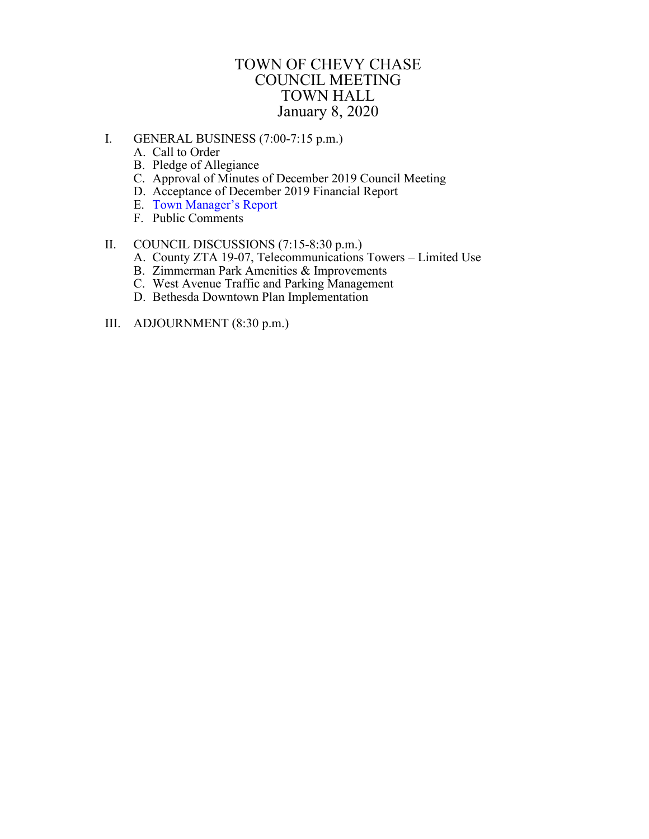## TOWN OF CHEVY CHASE COUNCIL MEETING TOWN HALL January 8, 2020

- <span id="page-0-0"></span>I. GENERAL BUSINESS (7:00-7:15 p.m.)
	- A. Call to Order
	- B. Pledge of Allegiance
	- C. Approval of Minutes of December 2019 Council Meeting
	- D. Acceptance of December 2019 Financial Report
	- E. Town [Manager's Report](#page-1-0)
	- F. Public Comments

## II. COUNCIL DISCUSSIONS (7:15-8:30 p.m.)

- A. County ZTA 19-07, Telecommunications Towers Limited Use
- B. Zimmerman Park Amenities & Improvements
- C. West Avenue Traffic and Parking Management
- D. Bethesda Downtown Plan Implementation
- III. ADJOURNMENT (8:30 p.m.)